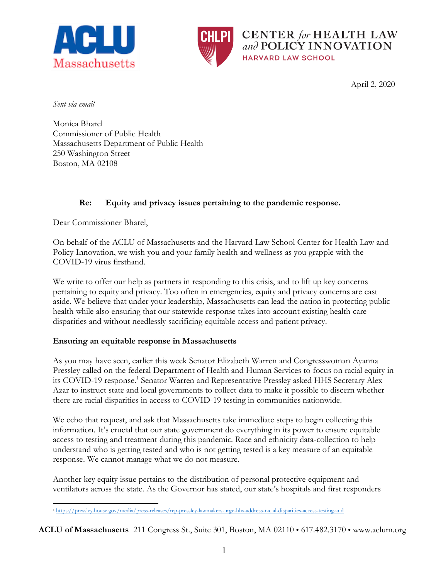



**CENTER** for HEALTH LAW and POLICY INNOVATION **HARVARD LAW SCHOOL** 

April 2, 2020

*Sent via email*

Monica Bharel Commissioner of Public Health Massachusetts Department of Public Health 250 Washington Street Boston, MA 02108

## **Re: Equity and privacy issues pertaining to the pandemic response.**

Dear Commissioner Bharel,

On behalf of the ACLU of Massachusetts and the Harvard Law School Center for Health Law and Policy Innovation, we wish you and your family health and wellness as you grapple with the COVID-19 virus firsthand.

We write to offer our help as partners in responding to this crisis, and to lift up key concerns pertaining to equity and privacy. Too often in emergencies, equity and privacy concerns are cast aside. We believe that under your leadership, Massachusetts can lead the nation in protecting public health while also ensuring that our statewide response takes into account existing health care disparities and without needlessly sacrificing equitable access and patient privacy.

## **Ensuring an equitable response in Massachusetts**

As you may have seen, earlier this week Senator Elizabeth Warren and Congresswoman Ayanna Pressley called on the federal Department of Health and Human Services to focus on racial equity in its COVID-19 response.<sup>1</sup> Senator Warren and Representative Pressley asked HHS Secretary Alex Azar to instruct state and local governments to collect data to make it possible to discern whether there are racial disparities in access to COVID-19 testing in communities nationwide.

We echo that request, and ask that Massachusetts take immediate steps to begin collecting this information. It's crucial that our state government do everything in its power to ensure equitable access to testing and treatment during this pandemic. Race and ethnicity data-collection to help understand who is getting tested and who is not getting tested is a key measure of an equitable response. We cannot manage what we do not measure.

Another key equity issue pertains to the distribution of personal protective equipment and ventilators across the state. As the Governor has stated, our state's hospitals and first responders

**ACLU of Massachusetts** 211 Congress St., Suite 301, Boston, MA 02110 **•** 617.482.3170 **•** www.aclum.org

 $\overline{a}$ <sup>1</sup> https://pressley.house.gov/media/press-releases/rep-pressley-lawmakers-urge-hhs-address-racial-disparities-access-testing-and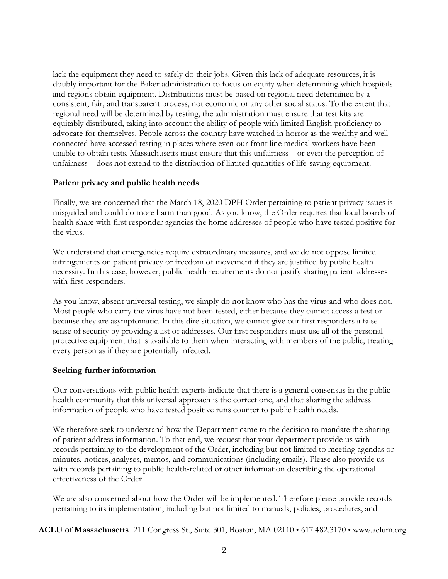lack the equipment they need to safely do their jobs. Given this lack of adequate resources, it is doubly important for the Baker administration to focus on equity when determining which hospitals and regions obtain equipment. Distributions must be based on regional need determined by a consistent, fair, and transparent process, not economic or any other social status. To the extent that regional need will be determined by testing, the administration must ensure that test kits are equitably distributed, taking into account the ability of people with limited English proficiency to advocate for themselves. People across the country have watched in horror as the wealthy and well connected have accessed testing in places where even our front line medical workers have been unable to obtain tests. Massachusetts must ensure that this unfairness—or even the perception of unfairness—does not extend to the distribution of limited quantities of life-saving equipment.

## **Patient privacy and public health needs**

Finally, we are concerned that the March 18, 2020 DPH Order pertaining to patient privacy issues is misguided and could do more harm than good. As you know, the Order requires that local boards of health share with first responder agencies the home addresses of people who have tested positive for the virus.

We understand that emergencies require extraordinary measures, and we do not oppose limited infringements on patient privacy or freedom of movement if they are justified by public health necessity. In this case, however, public health requirements do not justify sharing patient addresses with first responders.

As you know, absent universal testing, we simply do not know who has the virus and who does not. Most people who carry the virus have not been tested, either because they cannot access a test or because they are asymptomatic. In this dire situation, we cannot give our first responders a false sense of security by providng a list of addresses. Our first responders must use all of the personal protective equipment that is available to them when interacting with members of the public, treating every person as if they are potentially infected.

## **Seeking further information**

Our conversations with public health experts indicate that there is a general consensus in the public health community that this universal approach is the correct one, and that sharing the address information of people who have tested positive runs counter to public health needs.

We therefore seek to understand how the Department came to the decision to mandate the sharing of patient address information. To that end, we request that your department provide us with records pertaining to the development of the Order, including but not limited to meeting agendas or minutes, notices, analyses, memos, and communications (including emails). Please also provide us with records pertaining to public health-related or other information describing the operational effectiveness of the Order.

We are also concerned about how the Order will be implemented. Therefore please provide records pertaining to its implementation, including but not limited to manuals, policies, procedures, and

**ACLU of Massachusetts** 211 Congress St., Suite 301, Boston, MA 02110 **•** 617.482.3170 **•** www.aclum.org